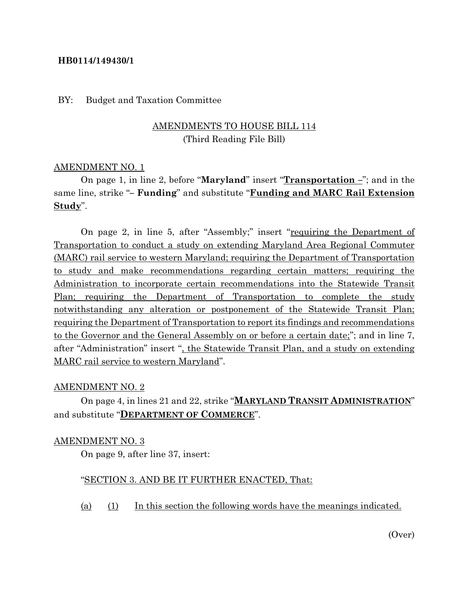### **HB0114/149430/1**

#### BY: Budget and Taxation Committee

# AMENDMENTS TO HOUSE BILL 114 (Third Reading File Bill)

#### AMENDMENT NO. 1

On page 1, in line 2, before "**Maryland**" insert "**Transportation –**"; and in the same line, strike "**– Funding**" and substitute "**Funding and MARC Rail Extension Study**".

On page 2, in line 5, after "Assembly;" insert "requiring the Department of Transportation to conduct a study on extending Maryland Area Regional Commuter (MARC) rail service to western Maryland; requiring the Department of Transportation to study and make recommendations regarding certain matters; requiring the Administration to incorporate certain recommendations into the Statewide Transit Plan; requiring the Department of Transportation to complete the study notwithstanding any alteration or postponement of the Statewide Transit Plan; requiring the Department of Transportation to report its findings and recommendations to the Governor and the General Assembly on or before a certain date;"; and in line 7, after "Administration" insert ", the Statewide Transit Plan, and a study on extending MARC rail service to western Maryland".

#### AMENDMENT NO. 2

On page 4, in lines 21 and 22, strike "**MARYLAND TRANSIT ADMINISTRATION**" and substitute "**DEPARTMENT OF COMMERCE**".

#### AMENDMENT NO. 3

On page 9, after line 37, insert:

#### "SECTION 3. AND BE IT FURTHER ENACTED, That:

(a) (1) In this section the following words have the meanings indicated.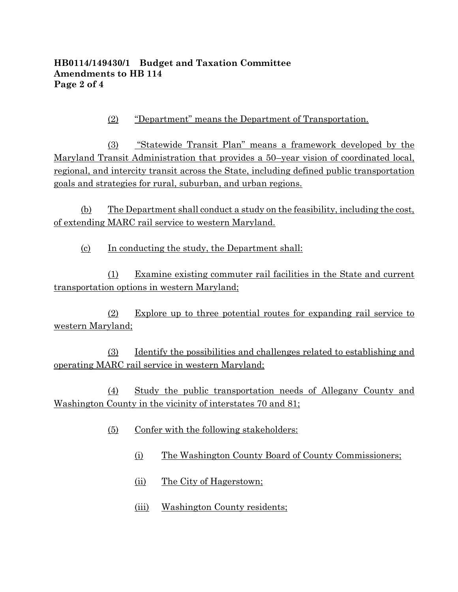# **HB0114/149430/1 Budget and Taxation Committee Amendments to HB 114 Page 2 of 4**

(2) "Department" means the Department of Transportation.

(3) "Statewide Transit Plan" means a framework developed by the Maryland Transit Administration that provides a 50–year vision of coordinated local, regional, and intercity transit across the State, including defined public transportation goals and strategies for rural, suburban, and urban regions.

(b) The Department shall conduct a study on the feasibility, including the cost, of extending MARC rail service to western Maryland.

(c) In conducting the study, the Department shall:

(1) Examine existing commuter rail facilities in the State and current transportation options in western Maryland;

(2) Explore up to three potential routes for expanding rail service to western Maryland;

(3) Identify the possibilities and challenges related to establishing and operating MARC rail service in western Maryland;

(4) Study the public transportation needs of Allegany County and Washington County in the vicinity of interstates 70 and 81;

- (5) Confer with the following stakeholders:
	- (i) The Washington County Board of County Commissioners;
	- (ii) The City of Hagerstown;
	- (iii) Washington County residents;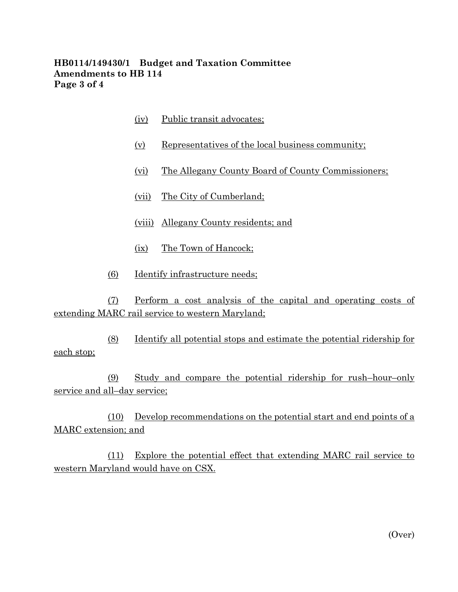# **HB0114/149430/1 Budget and Taxation Committee Amendments to HB 114 Page 3 of 4**

- (iv) Public transit advocates;
- (v) Representatives of the local business community;
- (vi) The Allegany County Board of County Commissioners;
- (vii) The City of Cumberland;
- (viii) Allegany County residents; and
- (ix) The Town of Hancock;
- (6) Identify infrastructure needs;

(7) Perform a cost analysis of the capital and operating costs of extending MARC rail service to western Maryland;

(8) Identify all potential stops and estimate the potential ridership for each stop;

(9) Study and compare the potential ridership for rush–hour–only service and all–day service;

(10) Develop recommendations on the potential start and end points of a MARC extension; and

(11) Explore the potential effect that extending MARC rail service to western Maryland would have on CSX.